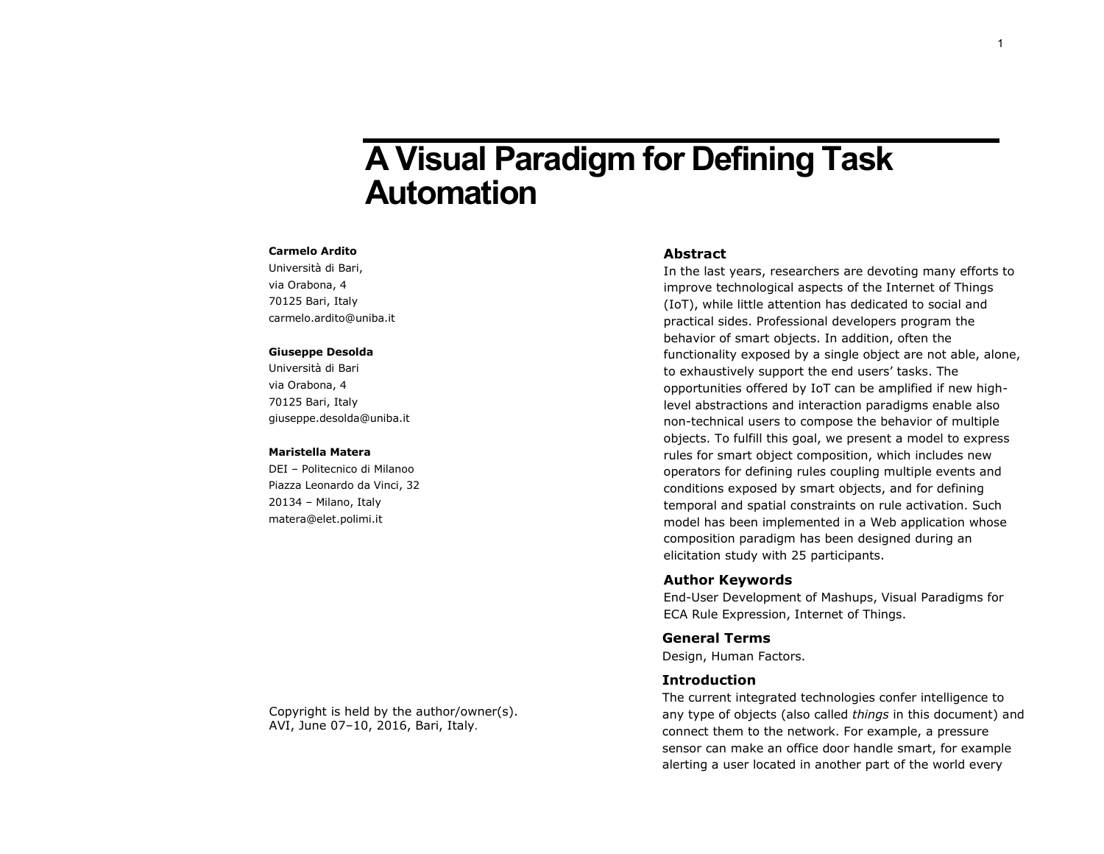# **A Visual Paradigm for Defining Task Automation**

#### **Carmelo Ardito**

Università di Bari, via Orabona, 4 70125 Bari, Italy carmelo.ardito@uniba.it

### **Giuseppe Desolda**

Università di Bari via Orabona, 4 70125 Bari, Italy giuseppe.desolda@uniba.it

#### **Maristella Matera**

DEI – Politecnico di Milanoo Piazza Leonardo da Vinci, 32 20134 – Milano, Italy matera@elet.polimi.it

#### **Abstract**

In the last years, researchers are devoting many efforts to improve technological aspects of the Internet of Things (IoT), while little attention has dedicated to social and practical sides. Professional developers program the behavior of smart objects. In addition, often the functionality exposed by a single object are not able, alone, to exhaustively support the end users' tasks. The opportunities offered by IoT can be amplified if new highlevel abstractions and interaction paradigms enable also non-technical users to compose the behavior of multiple objects. To fulfill this goal, we present a model to express rules for smart object composition, which includes new operators for defining rules coupling multiple events and conditions exposed by smart objects, and for defining temporal and spatial constraints on rule activation. Such model has been implemented in a Web application whose composition paradigm has been designed during an elicitation study with 25 participants.

## **Author Keywords**

End-User Development of Mashups, Visual Paradigms for ECA Rule Expression, Internet of Things.

## **General Terms**

Design, Human Factors.

#### **Introduction**

The current integrated technologies confer intelligence to any type of objects (also called *things* in this document) and connect them to the network. For example, a pressure sensor can make an office door handle smart, for example alerting a user located in another part of the world every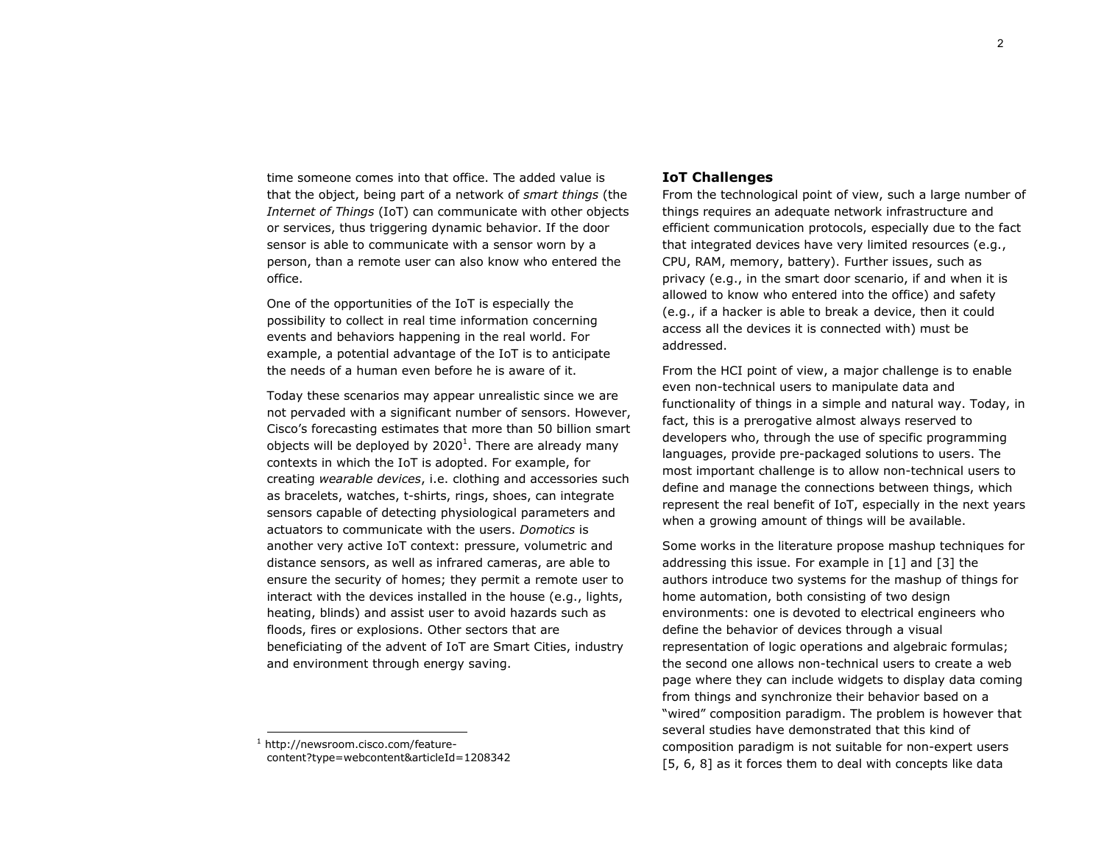$\mathcal{P}$ 

time someone comes into that office. The added value is that the object, being part of a network of *smart things* (the *Internet of Things* (IoT) can communicate with other objects or services, thus triggering dynamic behavior. If the door sensor is able to communicate with a sensor worn by a person, than a remote user can also know who entered the office.

One of the opportunities of the IoT is especially the possibility to collect in real time information concerning events and behaviors happening in the real world. For example, a potential advantage of the IoT is to anticipate the needs of a human even before he is aware of it.

Today these scenarios may appear unrealistic since we are not pervaded with a significant number of sensors. However, Cisco's forecasting estimates that more than 50 billion smart objects will be deployed by 2020<sup>1</sup>. There are already many contexts in which the IoT is adopted. For example, for creating *wearable devices*, i.e. clothing and accessories such as bracelets, watches, t-shirts, rings, shoes, can integrate sensors capable of detecting physiological parameters and actuators to communicate with the users. *Domotics* is another very active IoT context: pressure, volumetric and distance sensors, as well as infrared cameras, are able to ensure the security of homes; they permit a remote user to interact with the devices installed in the house (e.g., lights, heating, blinds) and assist user to avoid hazards such as floods, fires or explosions. Other sectors that are beneficiating of the advent of IoT are Smart Cities, industry and environment through energy saving.

ł

# **IoT Challenges**

From the technological point of view, such a large number of things requires an adequate network infrastructure and efficient communication protocols, especially due to the fact that integrated devices have very limited resources (e.g., CPU, RAM, memory, battery). Further issues, such as privacy (e.g., in the smart door scenario, if and when it is allowed to know who entered into the office) and safety (e.g., if a hacker is able to break a device, then it could access all the devices it is connected with) must be addressed.

From the HCI point of view, a major challenge is to enable even non-technical users to manipulate data and functionality of things in a simple and natural way. Today, in fact, this is a prerogative almost always reserved to developers who, through the use of specific programming languages, provide pre-packaged solutions to users. The most important challenge is to allow non-technical users to define and manage the connections between things, which represent the real benefit of IoT, especially in the next years when a growing amount of things will be available.

Some works in the literature propose mashup techniques for addressing this issue. For example in [\[1\]](#page-5-0) and [\[3\]](#page-5-1) the authors introduce two systems for the mashup of things for home automation, both consisting of two design environments: one is devoted to electrical engineers who define the behavior of devices through a visual representation of logic operations and algebraic formulas; the second one allows non-technical users to create a web page where they can include widgets to display data coming from things and synchronize their behavior based on a "wired" composition paradigm. The problem is however that several studies have demonstrated that this kind of composition paradigm is not suitable for non-expert users [\[5,](#page-5-2) [6,](#page-5-3) [8\]](#page-5-4) as it forces them to deal with concepts like data

<sup>1</sup> http://newsroom.cisco.com/featurecontent?type=webcontent&articleId=1208342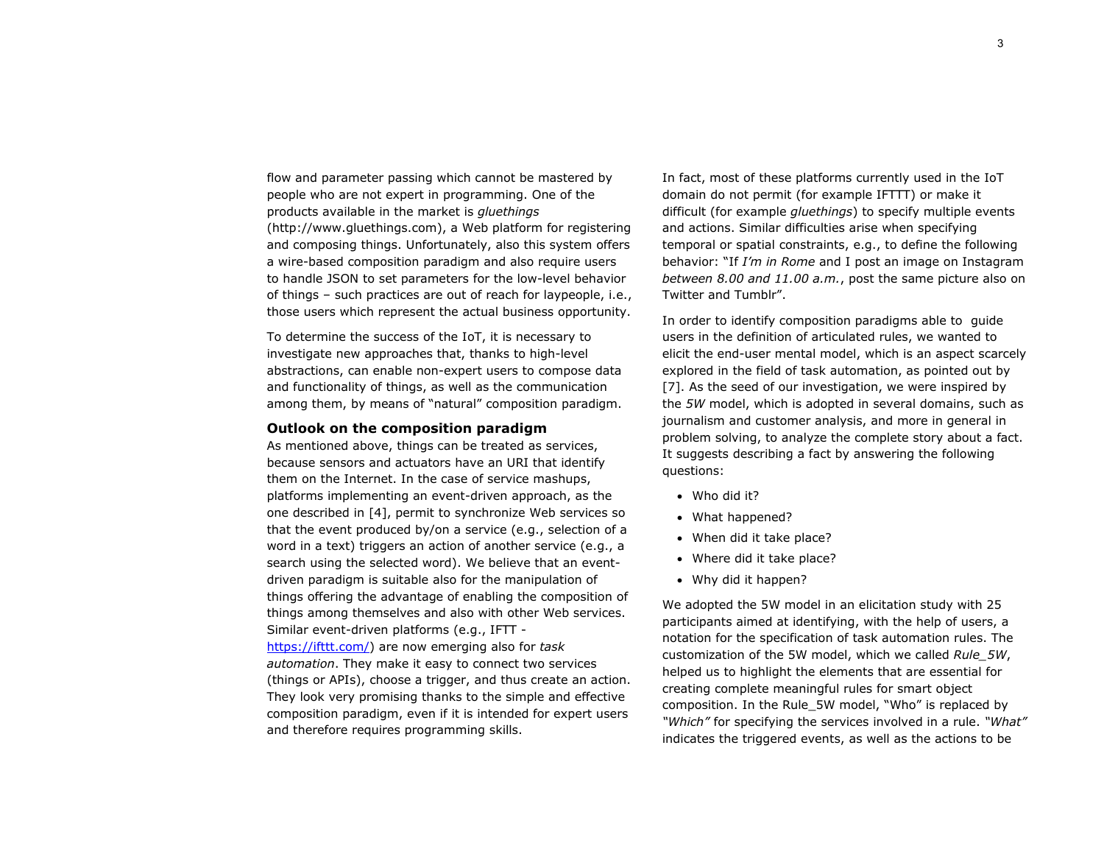flow and parameter passing which cannot be mastered by people who are not expert in programming. One of the products available in the market is *gluethings*  (http://www.gluethings.com), a Web platform for registering and composing things. Unfortunately, also this system offers a wire-based composition paradigm and also require users to handle JSON to set parameters for the low-level behavior of things – such practices are out of reach for laypeople, i.e., those users which represent the actual business opportunity.

To determine the success of the IoT, it is necessary to investigate new approaches that, thanks to high-level abstractions, can enable non-expert users to compose data and functionality of things, as well as the communication among them, by means of "natural" composition paradigm.

## **Outlook on the composition paradigm**

As mentioned above, things can be treated as services, because sensors and actuators have an URI that identify them on the Internet. In the case of service mashups, platforms implementing an event-driven approach, as the one described in [\[4\]](#page-5-5), permit to synchronize Web services so that the event produced by/on a service (e.g., selection of a word in a text) triggers an action of another service (e.g., a search using the selected word). We believe that an eventdriven paradigm is suitable also for the manipulation of things offering the advantage of enabling the composition of things among themselves and also with other Web services. Similar event-driven platforms (e.g., IFTT [https://ifttt.com/\)](https://ifttt.com/) are now emerging also for *task automation*. They make it easy to connect two services (things or APIs), choose a trigger, and thus create an action. They look very promising thanks to the simple and effective composition paradigm, even if it is intended for expert users and therefore requires programming skills.

In fact, most of these platforms currently used in the IoT domain do not permit (for example IFTTT) or make it difficult (for example *gluethings*) to specify multiple events and actions. Similar difficulties arise when specifying temporal or spatial constraints, e.g., to define the following behavior: "If *I'm in Rome* and I post an image on Instagram *between 8.00 and 11.00 a.m.*, post the same picture also on Twitter and Tumblr".

In order to identify composition paradigms able to guide users in the definition of articulated rules, we wanted to elicit the end-user mental model, which is an aspect scarcely explored in the field of task automation, as pointed out by [\[7\]](#page-5-6). As the seed of our investigation, we were inspired by the *5W* model, which is adopted in several domains, such as journalism and customer analysis, and more in general in problem solving, to analyze the complete story about a fact. It suggests describing a fact by answering the following questions:

- Who did it?
- What happened?
- When did it take place?
- Where did it take place?
- Why did it happen?

We adopted the 5W model in an elicitation study with 25 participants aimed at identifying, with the help of users, a notation for the specification of task automation rules. The customization of the 5W model, which we called *Rule\_5W*, helped us to highlight the elements that are essential for creating complete meaningful rules for smart object composition. In the Rule\_5W model, "Who" is replaced by *"Which"* for specifying the services involved in a rule. *"What"* indicates the triggered events, as well as the actions to be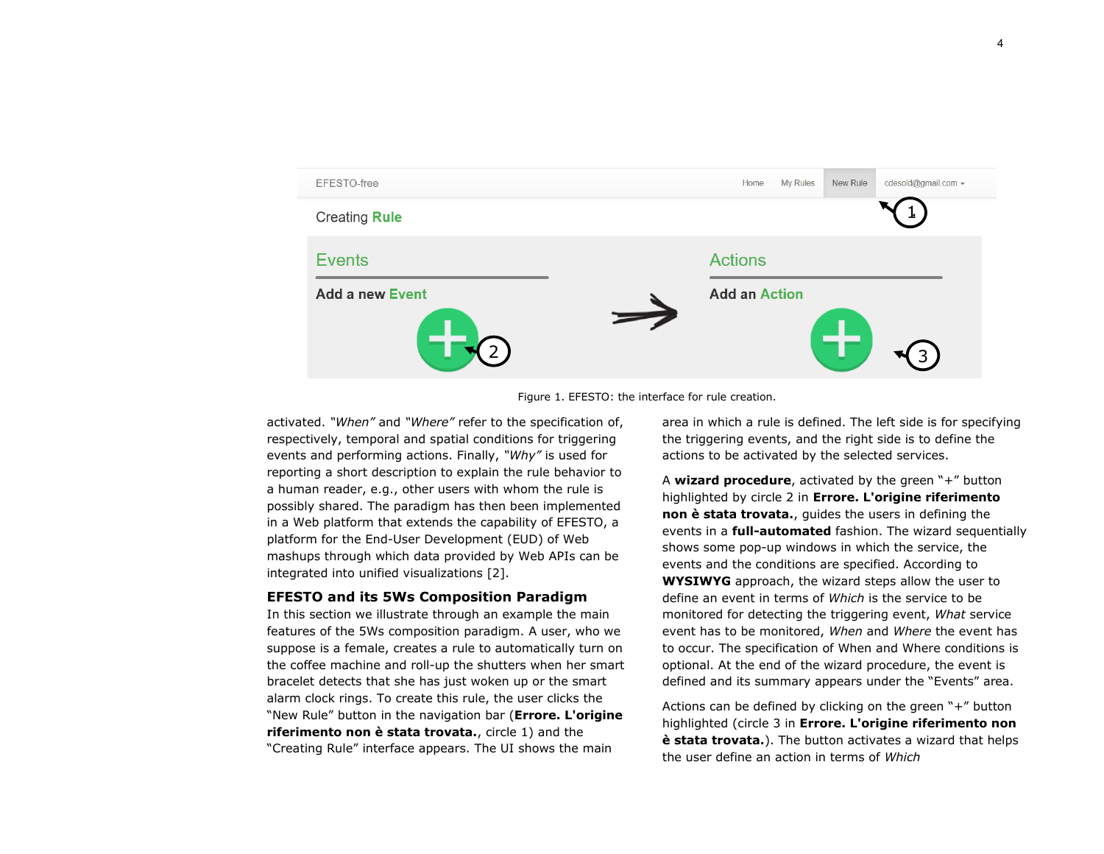

Figure 1. EFESTO: the interface for rule creation.

activated. *"When"* and *"Where"* refer to the specification of, respectively, temporal and spatial conditions for triggering events and performing actions. Finally, *"Why"* is used for reporting a short description to explain the rule behavior to a human reader, e.g., other users with whom the rule is possibly shared. The paradigm has then been implemented in a Web platform that extends the capability of EFESTO, a platform for the End-User Development (EUD) of Web mashups through which data provided by Web APIs can be integrated into unified visualizations [\[2\]](#page-5-7).

#### **EFESTO and its 5Ws Composition Paradigm**

In this section we illustrate through an example the main features of the 5Ws composition paradigm. A user, who we suppose is a female, creates a rule to automatically turn on the coffee machine and roll-up the shutters when her smart bracelet detects that she has just woken up or the smart alarm clock rings. To create this rule, the user clicks the "New Rule" button in the navigation bar (**Errore. L'origine riferimento non è stata trovata.**, circle 1) and the "Creating Rule" interface appears. The UI shows the main

area in which a rule is defined. The left side is for specifying the triggering events, and the right side is to define the actions to be activated by the selected services.

A **wizard procedure**, activated by the green "+" button highlighted by circle 2 in **Errore. L'origine riferimento non è stata trovata.**, guides the users in defining the events in a **full-automated** fashion. The wizard sequentially shows some pop-up windows in which the service, the events and the conditions are specified. According to **WYSIWYG** approach, the wizard steps allow the user to define an event in terms of *Which* is the service to be monitored for detecting the triggering event, *What* service event has to be monitored, *When* and *Where* the event has to occur. The specification of When and Where conditions is optional. At the end of the wizard procedure, the event is defined and its summary appears under the "Events" area.

Actions can be defined by clicking on the green "+" button highlighted (circle 3 in **Errore. L'origine riferimento non è stata trovata.**). The button activates a wizard that helps the user define an action in terms of *Which*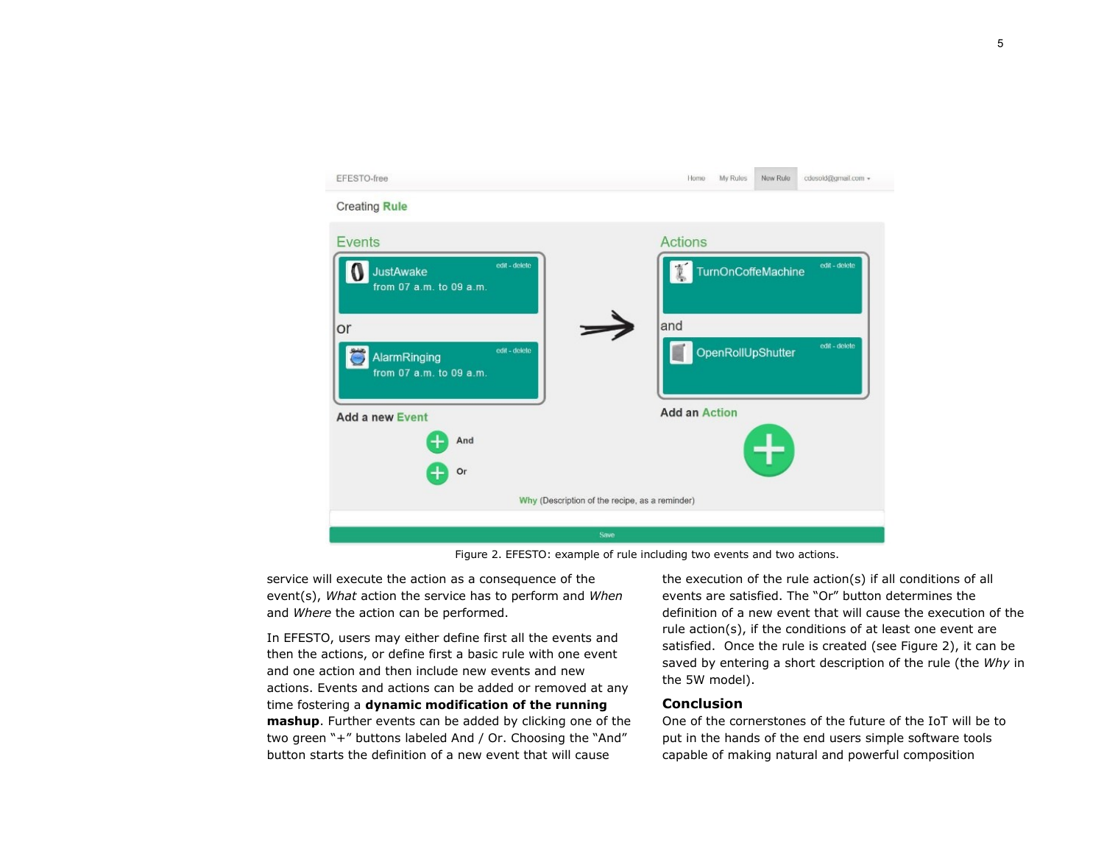

Figure 2. EFESTO: example of rule including two events and two actions.

<span id="page-4-0"></span>service will execute the action as a consequence of the event(s), *What* action the service has to perform and *When* and *Where* the action can be performed.

In EFESTO, users may either define first all the events and then the actions, or define first a basic rule with one event and one action and then include new events and new actions. Events and actions can be added or removed at any time fostering a **dynamic modification of the running mashup**. Further events can be added by clicking one of the two green "+" buttons labeled And / Or. Choosing the "And" button starts the definition of a new event that will cause

the execution of the rule action(s) if all conditions of all events are satisfied. The "Or" button determines the definition of a new event that will cause the execution of the rule action(s), if the conditions of at least one event are satisfied. Once the rule is created (see [Figure 2\)](#page-4-0), it can be saved by entering a short description of the rule (the *Why* in the 5W model).

## **Conclusion**

One of the cornerstones of the future of the IoT will be to put in the hands of the end users simple software tools capable of making natural and powerful composition